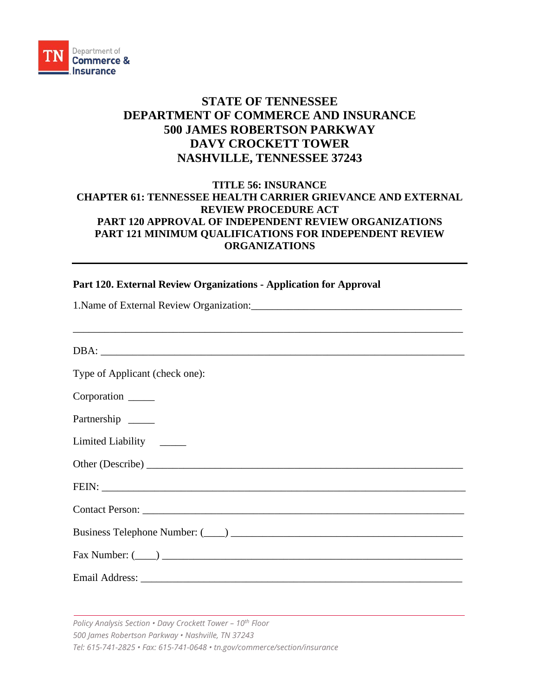

## **STATE OF TENNESSEE DEPARTMENT OF COMMERCE AND INSURANCE 500 JAMES ROBERTSON PARKWAY DAVY CROCKETT TOWER NASHVILLE, TENNESSEE 37243**

## **TITLE 56: INSURANCE CHAPTER 61: TENNESSEE HEALTH CARRIER GRIEVANCE AND EXTERNAL REVIEW PROCEDURE ACT PART 120 APPROVAL OF INDEPENDENT REVIEW ORGANIZATIONS PART 121 MINIMUM QUALIFICATIONS FOR INDEPENDENT REVIEW ORGANIZATIONS**

## **Part 120. External Review Organizations - Application for Approval**

| Type of Applicant (check one): |
|--------------------------------|
| Corporation ______             |
| Partnership                    |
| Limited Liability ______       |
|                                |
|                                |
|                                |
|                                |
|                                |
|                                |

*Policy Analysis Section • Davy Crockett Tower – 10th Floor 500 James Robertson Parkway • Nashville, TN 37243 Tel: 615-741-2825 • Fax: 615-741-0648 • tn.gov/commerce/section/insurance*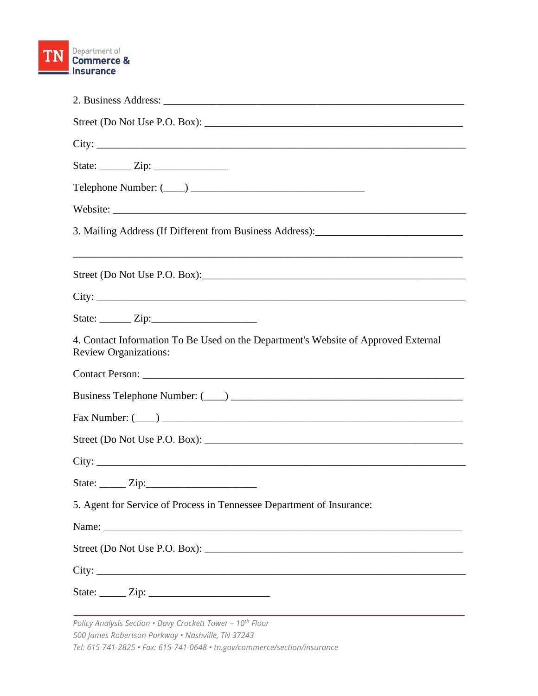

| 3. Mailing Address (If Different from Business Address): _______________________                                   |
|--------------------------------------------------------------------------------------------------------------------|
|                                                                                                                    |
|                                                                                                                    |
|                                                                                                                    |
| 4. Contact Information To Be Used on the Department's Website of Approved External<br><b>Review Organizations:</b> |
|                                                                                                                    |
|                                                                                                                    |
|                                                                                                                    |
|                                                                                                                    |
|                                                                                                                    |
|                                                                                                                    |
| 5. Agent for Service of Process in Tennessee Department of Insurance:                                              |
|                                                                                                                    |
|                                                                                                                    |
|                                                                                                                    |
|                                                                                                                    |

*Policy Analysis Section • Davy Crockett Tower – 10th Floor 500 James Robertson Parkway • Nashville, TN 37243 Tel: 615-741-2825 • Fax: 615-741-0648 • tn.gov/commerce/section/insurance*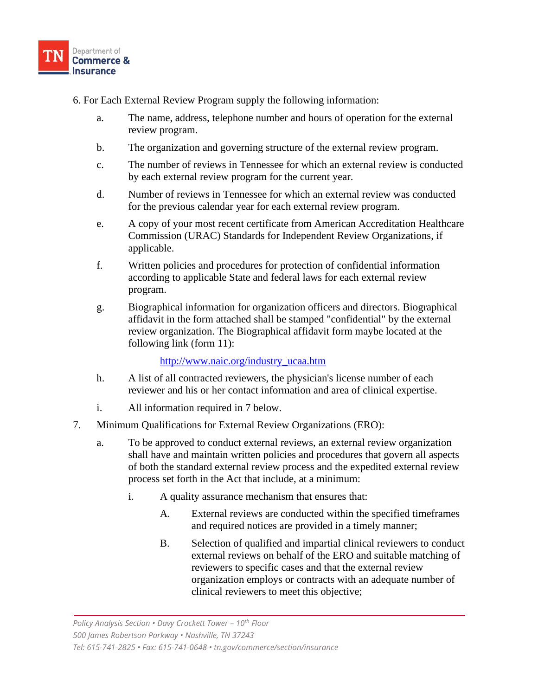

- 6. For Each External Review Program supply the following information:
	- a. The name, address, telephone number and hours of operation for the external review program.
	- b. The organization and governing structure of the external review program.
	- c. The number of reviews in Tennessee for which an external review is conducted by each external review program for the current year.
	- d. Number of reviews in Tennessee for which an external review was conducted for the previous calendar year for each external review program.
	- e. A copy of your most recent certificate from American Accreditation Healthcare Commission (URAC) Standards for Independent Review Organizations, if applicable.
	- f. Written policies and procedures for protection of confidential information according to applicable State and federal laws for each external review program.
	- g. Biographical information for organization officers and directors. Biographical affidavit in the form attached shall be stamped "confidential" by the external review organization. The Biographical affidavit form maybe located at the following link (form 11):

[http://www.naic.org/industry\\_ucaa.htm](http://www.naic.org/industry_ucaa.htm)

- h. A list of all contracted reviewers, the physician's license number of each reviewer and his or her contact information and area of clinical expertise.
- i. All information required in 7 below.
- 7. Minimum Qualifications for External Review Organizations (ERO):
	- a. To be approved to conduct external reviews, an external review organization shall have and maintain written policies and procedures that govern all aspects of both the standard external review process and the expedited external review process set forth in the Act that include, at a minimum:
		- i. A quality assurance mechanism that ensures that:
			- A. External reviews are conducted within the specified timeframes and required notices are provided in a timely manner;
			- B. Selection of qualified and impartial clinical reviewers to conduct external reviews on behalf of the ERO and suitable matching of reviewers to specific cases and that the external review organization employs or contracts with an adequate number of clinical reviewers to meet this objective;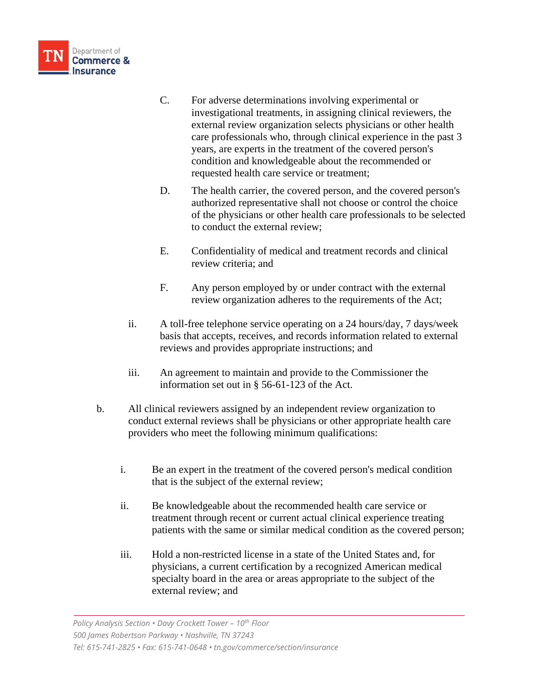

- C. For adverse determinations involving experimental or investigational treatments, in assigning clinical reviewers, the external review organization selects physicians or other health care professionals who, through clinical experience in the past 3 years, are experts in the treatment of the covered person's condition and knowledgeable about the recommended or requested health care service or treatment;
- D. The health carrier, the covered person, and the covered person's authorized representative shall not choose or control the choice of the physicians or other health care professionals to be selected to conduct the external review;
- E. Confidentiality of medical and treatment records and clinical review criteria; and
- F. Any person employed by or under contract with the external review organization adheres to the requirements of the Act;
- ii. A toll-free telephone service operating on a 24 hours/day, 7 days/week basis that accepts, receives, and records information related to external reviews and provides appropriate instructions; and
- iii. An agreement to maintain and provide to the Commissioner the information set out in § 56-61-123 of the Act.
- b. All clinical reviewers assigned by an independent review organization to conduct external reviews shall be physicians or other appropriate health care providers who meet the following minimum qualifications:
	- i. Be an expert in the treatment of the covered person's medical condition that is the subject of the external review;
	- ii. Be knowledgeable about the recommended health care service or treatment through recent or current actual clinical experience treating patients with the same or similar medical condition as the covered person;
	- iii. Hold a non-restricted license in a state of the United States and, for physicians, a current certification by a recognized American medical specialty board in the area or areas appropriate to the subject of the external review; and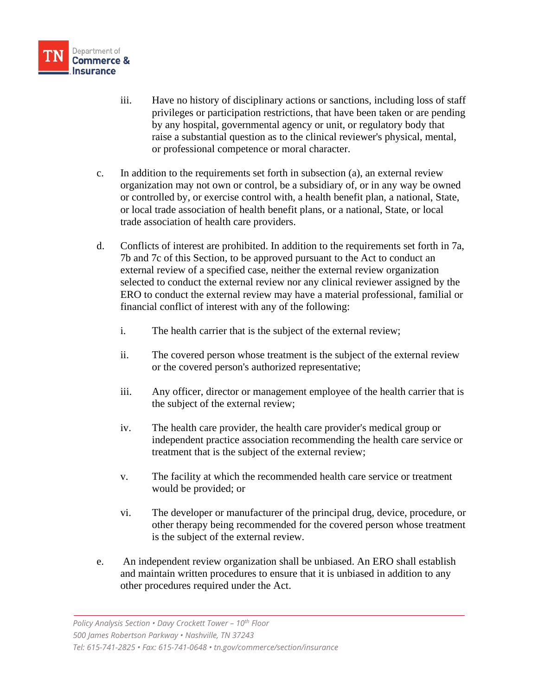

- iii. Have no history of disciplinary actions or sanctions, including loss of staff privileges or participation restrictions, that have been taken or are pending by any hospital, governmental agency or unit, or regulatory body that raise a substantial question as to the clinical reviewer's physical, mental, or professional competence or moral character.
- c. In addition to the requirements set forth in subsection (a), an external review organization may not own or control, be a subsidiary of, or in any way be owned or controlled by, or exercise control with, a health benefit plan, a national, State, or local trade association of health benefit plans, or a national, State, or local trade association of health care providers.
- d. Conflicts of interest are prohibited. In addition to the requirements set forth in 7a, 7b and 7c of this Section, to be approved pursuant to the Act to conduct an external review of a specified case, neither the external review organization selected to conduct the external review nor any clinical reviewer assigned by the ERO to conduct the external review may have a material professional, familial or financial conflict of interest with any of the following:
	- i. The health carrier that is the subject of the external review;
	- ii. The covered person whose treatment is the subject of the external review or the covered person's authorized representative;
	- iii. Any officer, director or management employee of the health carrier that is the subject of the external review;
	- iv. The health care provider, the health care provider's medical group or independent practice association recommending the health care service or treatment that is the subject of the external review;
	- v. The facility at which the recommended health care service or treatment would be provided; or
	- vi. The developer or manufacturer of the principal drug, device, procedure, or other therapy being recommended for the covered person whose treatment is the subject of the external review.
- e. An independent review organization shall be unbiased. An ERO shall establish and maintain written procedures to ensure that it is unbiased in addition to any other procedures required under the Act.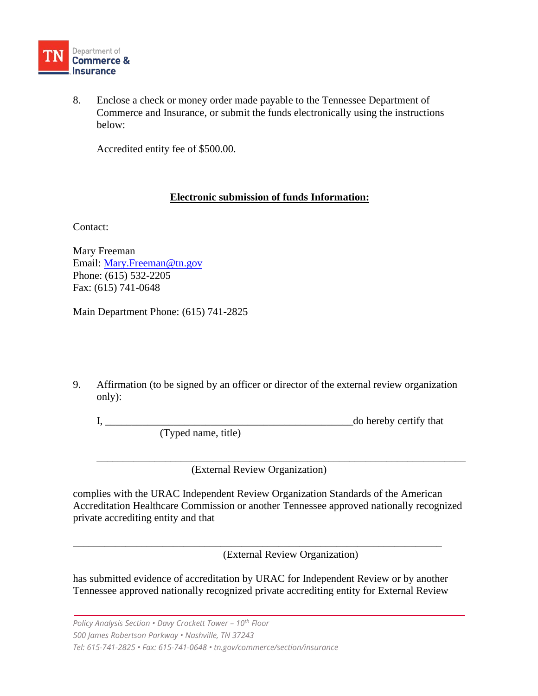

8. Enclose a check or money order made payable to the Tennessee Department of Commerce and Insurance, or submit the funds electronically using the instructions below:

Accredited entity fee of \$500.00.

## **Electronic submission of funds Information:**

Contact:

Mary Freeman Email: [Mary.Freeman@tn.gov](mailto:Mary.Freeman@tn.gov) Phone: (615) 532-2205 Fax: (615) 741-0648

Main Department Phone: (615) 741-2825

9. Affirmation (to be signed by an officer or director of the external review organization only):

I, the do hereby certify that (Typed name, title)

\_\_\_\_\_\_\_\_\_\_\_\_\_\_\_\_\_\_\_\_\_\_\_\_\_\_\_\_\_\_\_\_\_\_\_\_\_\_\_\_\_\_\_\_\_\_\_\_\_\_\_\_\_\_\_\_\_\_\_\_\_\_\_\_\_\_\_\_\_\_ (External Review Organization)

complies with the URAC Independent Review Organization Standards of the American Accreditation Healthcare Commission or another Tennessee approved nationally recognized private accrediting entity and that

(External Review Organization)

has submitted evidence of accreditation by URAC for Independent Review or by another Tennessee approved nationally recognized private accrediting entity for External Review

\_\_\_\_\_\_\_\_\_\_\_\_\_\_\_\_\_\_\_\_\_\_\_\_\_\_\_\_\_\_\_\_\_\_\_\_\_\_\_\_\_\_\_\_\_\_\_\_\_\_\_\_\_\_\_\_\_\_\_\_\_\_\_\_\_\_\_\_\_\_